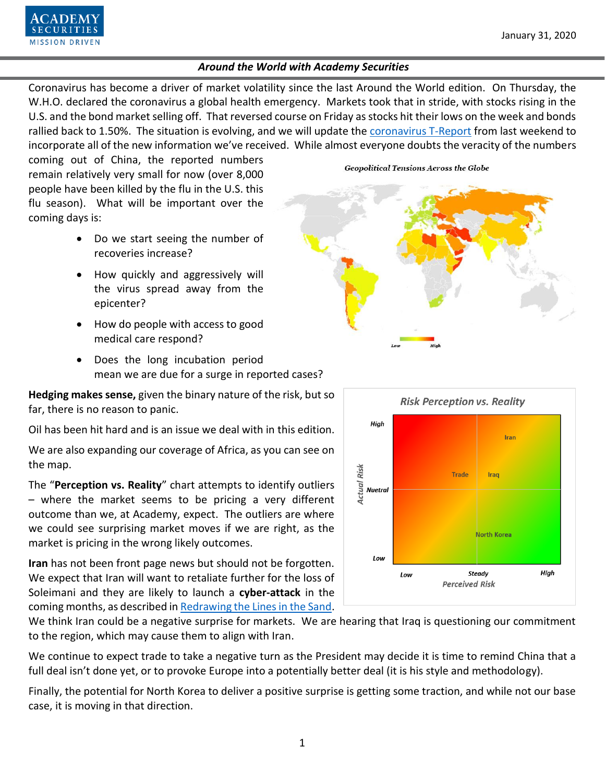Coronavirus has become a driver of market volatility since the last Around the World edition. On Thursday, the W.H.O. declared the coronavirus a global health emergency. Markets took that in stride, with stocks rising in the U.S. and the bond market selling off. That reversed course on Friday as stocks hit their lows on the week and bonds rallied back to 1.50%. The situation is evolving, and we will update the [coronavirus T-Report](https://www.academysecurities.com/wordpress/wp-content/uploads/2020/01/Coronavirus.pdf) from last weekend to incorporate all of the new information we've received. While almost everyone doubts the veracity of the numbers

coming out of China, the reported numbers remain relatively very small for now (over 8,000 people have been killed by the flu in the U.S. this flu season). What will be important over the coming days is:

- Do we start seeing the number of recoveries increase?
- How quickly and aggressively will the virus spread away from the epicenter?
- How do people with access to good medical care respond?
- Does the long incubation period mean we are due for a surge in reported cases?

**Hedging makes sense,** given the binary nature of the risk, but so far, there is no reason to panic.

Oil has been hit hard and is an issue we deal with in this edition.

We are also expanding our coverage of Africa, as you can see on the map.

The "**Perception vs. Reality**" chart attempts to identify outliers – where the market seems to be pricing a very different outcome than we, at Academy, expect. The outliers are where we could see surprising market moves if we are right, as the market is pricing in the wrong likely outcomes.

**Iran** has not been front page news but should not be forgotten. We expect that Iran will want to retaliate further for the loss of Soleimani and they are likely to launch a **cyber-attack** in the coming months, as described i[n Redrawing the Lines in the Sand.](https://www.academysecurities.com/wordpress/wp-content/uploads/2020/01/Redrawing-Lines-in-the-Sand.pdf)

We think Iran could be a negative surprise for markets. We are hearing that Iraq is questioning our commitment to the region, which may cause them to align with Iran.

We continue to expect trade to take a negative turn as the President may decide it is time to remind China that a full deal isn't done yet, or to provoke Europe into a potentially better deal (it is his style and methodology).

Finally, the potential for North Korea to deliver a positive surprise is getting some traction, and while not our base case, it is moving in that direction.

# **Geopolitical Tensions Across the Globe**



**Perceived Risk** 

![](_page_0_Picture_18.jpeg)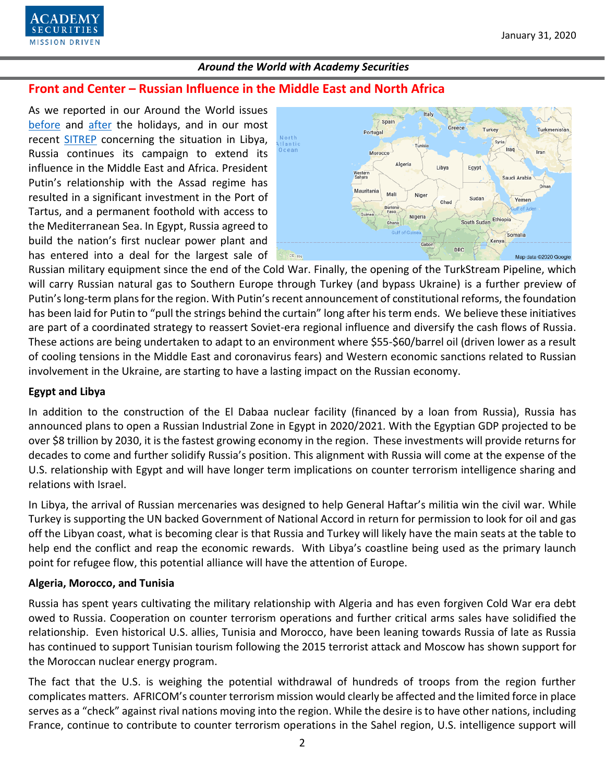![](_page_1_Picture_1.jpeg)

## **Front and Center – Russian Influence in the Middle East and North Africa**

As we reported in our Around the World issues [before](https://www.academysecurities.com/wordpress/wp-content/uploads/2019/12/Around-the-World-with-Academy-Securities-12-20-19.pdf) and [after](https://www.academysecurities.com/wordpress/wp-content/uploads/2020/01/Around-the-World-with-Academy-Securities-1.17.20.pdf) the holidays, and in our most recent [SITREP](https://www.academysecurities.com/vying-for-influence-in-libya/) concerning the situation in Libya, Russia continues its campaign to extend its influence in the Middle East and Africa. President Putin's relationship with the Assad regime has resulted in a significant investment in the Port of Tartus, and a permanent foothold with access to the Mediterranean Sea. In Egypt, Russia agreed to build the nation's first nuclear power plant and has entered into a deal for the largest sale of

![](_page_1_Figure_5.jpeg)

Russian military equipment since the end of the Cold War. Finally, the opening of the TurkStream Pipeline, which will carry Russian natural gas to Southern Europe through Turkey (and bypass Ukraine) is a further preview of Putin's long-term plans for the region. With Putin's recent announcement of constitutional reforms, the foundation has been laid for Putin to "pull the strings behind the curtain" long after his term ends. We believe these initiatives are part of a coordinated strategy to reassert Soviet-era regional influence and diversify the cash flows of Russia. These actions are being undertaken to adapt to an environment where \$55-\$60/barrel oil (driven lower as a result of cooling tensions in the Middle East and coronavirus fears) and Western economic sanctions related to Russian involvement in the Ukraine, are starting to have a lasting impact on the Russian economy.

#### **Egypt and Libya**

In addition to the construction of the El Dabaa nuclear facility (financed by a loan from Russia), Russia has announced plans to open a Russian Industrial Zone in Egypt in 2020/2021. With the Egyptian GDP projected to be over \$8 trillion by 2030, it is the fastest growing economy in the region. These investments will provide returns for decades to come and further solidify Russia's position. This alignment with Russia will come at the expense of the U.S. relationship with Egypt and will have longer term implications on counter terrorism intelligence sharing and relations with Israel.

In Libya, the arrival of Russian mercenaries was designed to help General Haftar's militia win the civil war. While Turkey is supporting the UN backed Government of National Accord in return for permission to look for oil and gas off the Libyan coast, what is becoming clear is that Russia and Turkey will likely have the main seats at the table to help end the conflict and reap the economic rewards. With Libya's coastline being used as the primary launch point for refugee flow, this potential alliance will have the attention of Europe.

#### **Algeria, Morocco, and Tunisia**

Russia has spent years cultivating the military relationship with Algeria and has even forgiven Cold War era debt owed to Russia. Cooperation on counter terrorism operations and further critical arms sales have solidified the relationship. Even historical U.S. allies, Tunisia and Morocco, have been leaning towards Russia of late as Russia has continued to support Tunisian tourism following the 2015 terrorist attack and Moscow has shown support for the Moroccan nuclear energy program.

The fact that the U.S. is weighing the potential withdrawal of hundreds of troops from the region further complicates matters. AFRICOM's counter terrorism mission would clearly be affected and the limited force in place serves as a "check" against rival nations moving into the region. While the desire isto have other nations, including France, continue to contribute to counter terrorism operations in the Sahel region, U.S. intelligence support will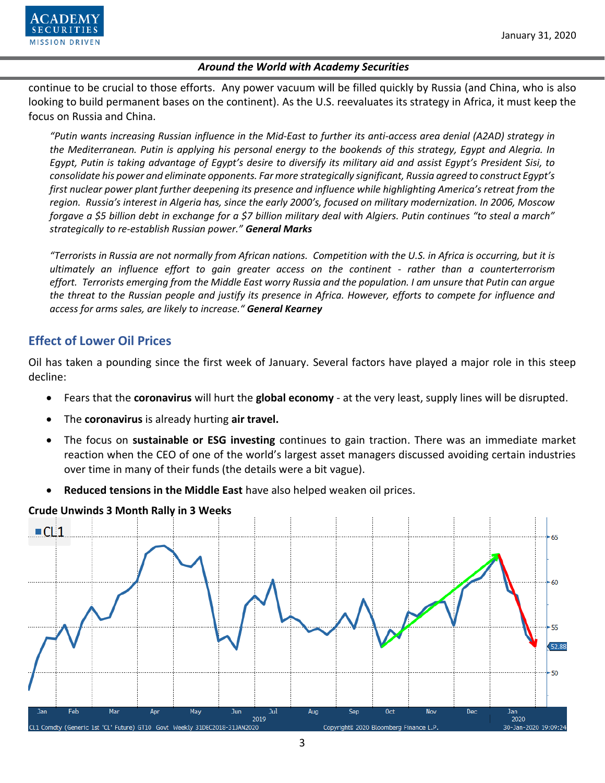![](_page_2_Picture_1.jpeg)

continue to be crucial to those efforts. Any power vacuum will be filled quickly by Russia (and China, who is also looking to build permanent bases on the continent). As the U.S. reevaluates its strategy in Africa, it must keep the focus on Russia and China.

*"Putin wants increasing Russian influence in the Mid-East to further its anti-access area denial (A2AD) strategy in the Mediterranean. Putin is applying his personal energy to the bookends of this strategy, Egypt and Alegria. In Egypt, Putin is taking advantage of Egypt's desire to diversify its military aid and assist Egypt's President Sisi, to consolidate his power and eliminate opponents. Far more strategically significant, Russia agreed to construct Egypt's first nuclear power plant further deepening its presence and influence while highlighting America's retreat from the region. Russia's interest in Algeria has, since the early 2000's, focused on military modernization. In 2006, Moscow forgave a \$5 billion debt in exchange for a \$7 billion military deal with Algiers. Putin continues "to steal a march" strategically to re-establish Russian power." General Marks* 

*"Terrorists in Russia are not normally from African nations. Competition with the U.S. in Africa is occurring, but it is ultimately an influence effort to gain greater access on the continent - rather than a counterterrorism effort. Terrorists emerging from the Middle East worry Russia and the population. I am unsure that Putin can argue the threat to the Russian people and justify its presence in Africa. However, efforts to compete for influence and access for arms sales, are likely to increase." General Kearney*

## **Effect of Lower Oil Prices**

Oil has taken a pounding since the first week of January. Several factors have played a major role in this steep decline:

- Fears that the **coronavirus** will hurt the **global economy** at the very least, supply lines will be disrupted.
- The **coronavirus** is already hurting **air travel.**
- The focus on **sustainable or ESG investing** continues to gain traction. There was an immediate market reaction when the CEO of one of the world's largest asset managers discussed avoiding certain industries over time in many of their funds (the details were a bit vague).
- **Reduced tensions in the Middle East** have also helped weaken oil prices.

![](_page_2_Figure_12.jpeg)

**Crude Unwinds 3 Month Rally in 3 Weeks**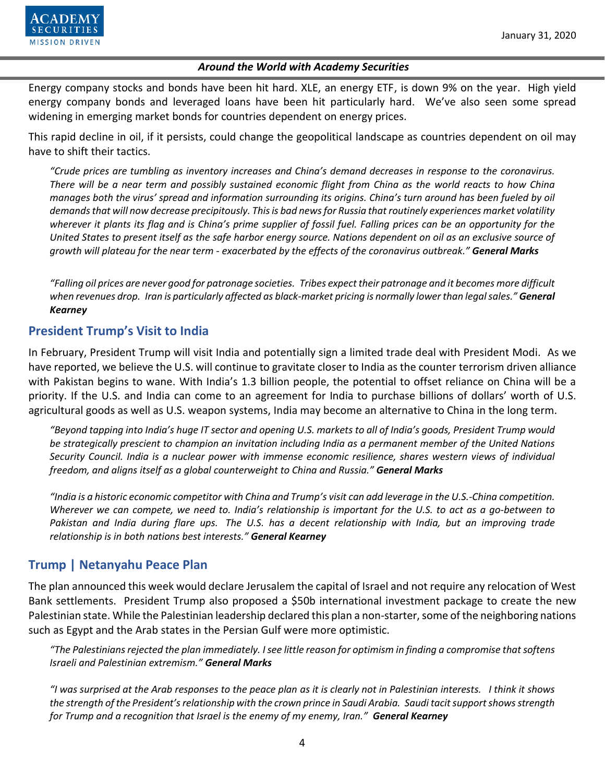![](_page_3_Picture_1.jpeg)

Energy company stocks and bonds have been hit hard. XLE, an energy ETF, is down 9% on the year. High yield energy company bonds and leveraged loans have been hit particularly hard. We've also seen some spread widening in emerging market bonds for countries dependent on energy prices.

This rapid decline in oil, if it persists, could change the geopolitical landscape as countries dependent on oil may have to shift their tactics.

*"Crude prices are tumbling as inventory increases and China's demand decreases in response to the coronavirus. There will be a near term and possibly sustained economic flight from China as the world reacts to how China manages both the virus' spread and information surrounding its origins. China's turn around has been fueled by oil demands that will now decrease precipitously. This is bad news for Russia that routinely experiences market volatility wherever it plants its flag and is China's prime supplier of fossil fuel. Falling prices can be an opportunity for the United States to present itself as the safe harbor energy source. Nations dependent on oil as an exclusive source of growth will plateau for the near term - exacerbated by the effects of the coronavirus outbreak." General Marks*

*"Falling oil prices are never good for patronage societies. Tribes expect their patronage and it becomes more difficult when revenues drop. Iran is particularly affected as black-market pricing is normally lower than legal sales." General Kearney* 

## **President Trump's Visit to India**

In February, President Trump will visit India and potentially sign a limited trade deal with President Modi. As we have reported, we believe the U.S. will continue to gravitate closer to India as the counter terrorism driven alliance with Pakistan begins to wane. With India's 1.3 billion people, the potential to offset reliance on China will be a priority. If the U.S. and India can come to an agreement for India to purchase billions of dollars' worth of U.S. agricultural goods as well as U.S. weapon systems, India may become an alternative to China in the long term.

*"Beyond tapping into India's huge IT sector and opening U.S. markets to all of India's goods, President Trump would be strategically prescient to champion an invitation including India as a permanent member of the United Nations Security Council. India is a nuclear power with immense economic resilience, shares western views of individual freedom, and aligns itself as a global counterweight to China and Russia." General Marks*

*"India is a historic economic competitor with China and Trump's visit can add leverage in the U.S.-China competition. Wherever we can compete, we need to. India's relationship is important for the U.S. to act as a go-between to Pakistan and India during flare ups. The U.S. has a decent relationship with India, but an improving trade relationship is in both nations best interests." General Kearney*

## **Trump | Netanyahu Peace Plan**

The plan announced this week would declare Jerusalem the capital of Israel and not require any relocation of West Bank settlements. President Trump also proposed a \$50b international investment package to create the new Palestinian state. While the Palestinian leadership declared this plan a non-starter, some of the neighboring nations such as Egypt and the Arab states in the Persian Gulf were more optimistic.

*"The Palestinians rejected the plan immediately. I see little reason for optimism in finding a compromise that softens Israeli and Palestinian extremism." General Marks*

*"I was surprised at the Arab responses to the peace plan as it is clearly not in Palestinian interests. I think it shows the strength of the President'srelationship with the crown prince in Saudi Arabia. Saudi tacit support shows strength for Trump and a recognition that Israel is the enemy of my enemy, Iran." General Kearney*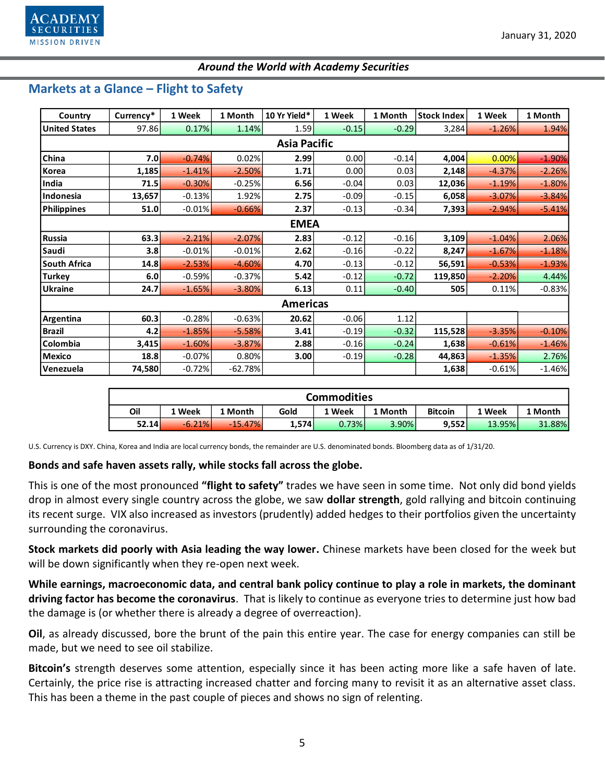![](_page_4_Picture_1.jpeg)

## **Markets at a Glance – Flight to Safety**

| Country              | Currency* | 1 Week   | 1 Month   | 10 Yr Yield* | 1 Week  | 1 Month | <b>Stock Index</b> | 1 Week   | 1 Month  |  |  |  |  |
|----------------------|-----------|----------|-----------|--------------|---------|---------|--------------------|----------|----------|--|--|--|--|
| <b>United States</b> | 97.86     | 0.17%    | 1.14%     | 1.59         | $-0.15$ | $-0.29$ | 3,284              | $-1.26%$ | 1.94%    |  |  |  |  |
| <b>Asia Pacific</b>  |           |          |           |              |         |         |                    |          |          |  |  |  |  |
| China                | 7.0       | $-0.74%$ | 0.02%     | 2.99         | 0.00    | $-0.14$ | 4,004              | 0.00%    | $-1.90%$ |  |  |  |  |
| Korea                | 1,185     | $-1.41%$ | $-2.50%$  | 1.71         | 0.00    | 0.03    | 2,148              | $-4.37%$ | $-2.26%$ |  |  |  |  |
| India                | 71.5      | $-0.30%$ | $-0.25%$  | 6.56         | $-0.04$ | 0.03    | 12,036             | $-1.19%$ | $-1.80%$ |  |  |  |  |
| Indonesia            | 13,657    | $-0.13%$ | 1.92%     | 2.75         | $-0.09$ | $-0.15$ | 6,058              | $-3.07%$ | $-3.84%$ |  |  |  |  |
| <b>Philippines</b>   | 51.0      | $-0.01%$ | $-0.66%$  | 2.37         | $-0.13$ | $-0.34$ | 7,393              | $-2.94%$ | $-5.41%$ |  |  |  |  |
| <b>EMEA</b>          |           |          |           |              |         |         |                    |          |          |  |  |  |  |
| Russia               | 63.3      | $-2.21%$ | $-2.07%$  | 2.83         | $-0.12$ | $-0.16$ | 3,109              | $-1.04%$ | 2.06%    |  |  |  |  |
| Saudi                | 3.8       | $-0.01%$ | $-0.01%$  | 2.62         | $-0.16$ | $-0.22$ | 8,247              | $-1.67%$ | $-1.18%$ |  |  |  |  |
| <b>South Africa</b>  | 14.8      | $-2.53%$ | $-4.60%$  | 4.70         | $-0.13$ | $-0.12$ | 56,591             | $-0.53%$ | $-1.93%$ |  |  |  |  |
| <b>Turkey</b>        | 6.0       | $-0.59%$ | $-0.37%$  | 5.42         | $-0.12$ | $-0.72$ | 119,850            | $-2.20%$ | 4.44%    |  |  |  |  |
| <b>Ukraine</b>       | 24.7      | $-1.65%$ | $-3.80%$  | 6.13         | 0.11    | $-0.40$ | 505                | 0.11%    | $-0.83%$ |  |  |  |  |
| <b>Americas</b>      |           |          |           |              |         |         |                    |          |          |  |  |  |  |
| Argentina            | 60.3      | $-0.28%$ | $-0.63%$  | 20.62        | $-0.06$ | 1.12    |                    |          |          |  |  |  |  |
| <b>Brazil</b>        | 4.2       | $-1.85%$ | $-5.58%$  | 3.41         | $-0.19$ | $-0.32$ | 115,528            | $-3.35%$ | $-0.10%$ |  |  |  |  |
| Colombia             | 3,415     | $-1.60%$ | $-3.87%$  | 2.88         | $-0.16$ | $-0.24$ | 1,638              | $-0.61%$ | $-1.46%$ |  |  |  |  |
| <b>Mexico</b>        | 18.8      | $-0.07%$ | 0.80%     | 3.00         | $-0.19$ | $-0.28$ | 44,863             | $-1.35%$ | 2.76%    |  |  |  |  |
| Venezuela            | 74,580    | $-0.72%$ | $-62.78%$ |              |         |         | 1,638              | $-0.61%$ | $-1.46%$ |  |  |  |  |

| <b>Commodities</b> |          |           |       |        |         |                |        |         |  |  |  |
|--------------------|----------|-----------|-------|--------|---------|----------------|--------|---------|--|--|--|
| Oil                | 1 Week   | 1 Month   | Gold  | 1 Week | ⊥ Month | <b>Bitcoin</b> | 1 Week | 1 Month |  |  |  |
| 52.14              | $-6.21%$ | $-15.47%$ | 1,574 | 0.73%  | 3.90%   | 9,552          | 13.95% | 31.88%  |  |  |  |

U.S. Currency is DXY. China, Korea and India are local currency bonds, the remainder are U.S. denominated bonds. Bloomberg data as of 1/31/20.

#### **Bonds and safe haven assets rally, while stocks fall across the globe.**

This is one of the most pronounced **"flight to safety"** trades we have seen in some time. Not only did bond yields drop in almost every single country across the globe, we saw **dollar strength**, gold rallying and bitcoin continuing its recent surge. VIX also increased as investors (prudently) added hedges to their portfolios given the uncertainty surrounding the coronavirus.

**Stock markets did poorly with Asia leading the way lower.** Chinese markets have been closed for the week but will be down significantly when they re-open next week.

**While earnings, macroeconomic data, and central bank policy continue to play a role in markets, the dominant driving factor has become the coronavirus**. That is likely to continue as everyone tries to determine just how bad the damage is (or whether there is already a degree of overreaction).

**Oil**, as already discussed, bore the brunt of the pain this entire year. The case for energy companies can still be made, but we need to see oil stabilize.

**Bitcoin's** strength deserves some attention, especially since it has been acting more like a safe haven of late. Certainly, the price rise is attracting increased chatter and forcing many to revisit it as an alternative asset class. This has been a theme in the past couple of pieces and shows no sign of relenting.